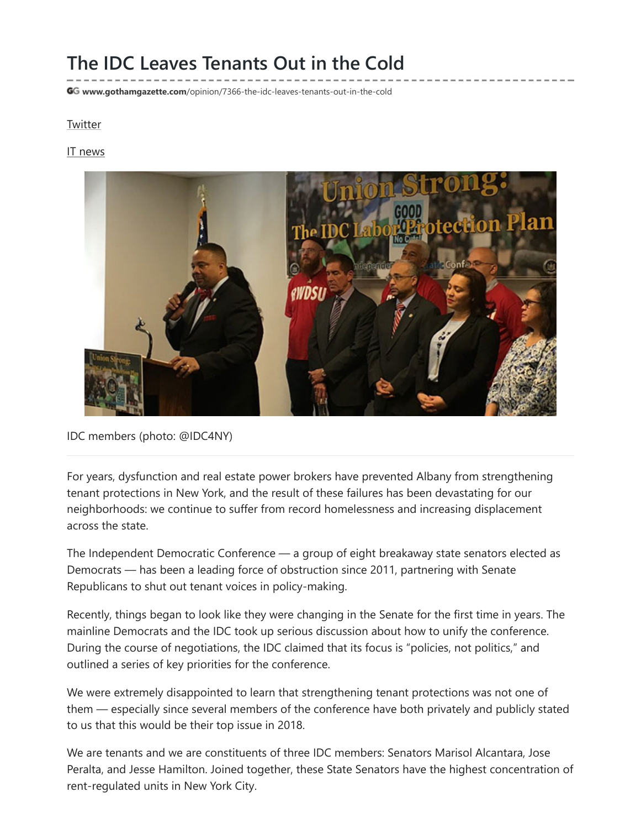## The IDC Leaves Tenants Out in the Cold

GG www.gothamgazette.com[/opinion/7366-the-idc-leaves-tenants-out-in-the-cold](http://www.gothamgazette.com/opinion/7366-the-idc-leaves-tenants-out-in-the-cold)

## **[Twitter](http://twitter.com/share)**

IT [news](http://itbukva.com/)



IDC members (photo: @IDC4NY)

For years, dysfunction and real estate power brokers have prevented Albany from strengthening tenant protections in New York, and the result of these failures has been devastating for our neighborhoods: we continue to suffer from record homelessness and increasing displacement across the state.

The Independent Democratic Conference — a group of eight breakaway state senators elected as Democrats — has been a leading force of obstruction since 2011, partnering with Senate Republicans to shut out tenant voices in policy-making.

Recently, things began to look like they were changing in the Senate for the first time in years. The mainline Democrats and the IDC took up serious discussion about how to unify the conference. During the course of negotiations, the IDC claimed that its focus is "policies, not politics," and outlined a series of key priorities for the conference.

We were extremely disappointed to learn that strengthening tenant protections was not one of them — especially since several members of the conference have both privately and publicly stated to us that this would be their top issue in 2018.

We are tenants and we are constituents of three IDC members: Senators Marisol Alcantara, Jose Peralta, and Jesse Hamilton. Joined together, these State Senators have the highest concentration of rent-regulated units in New York City.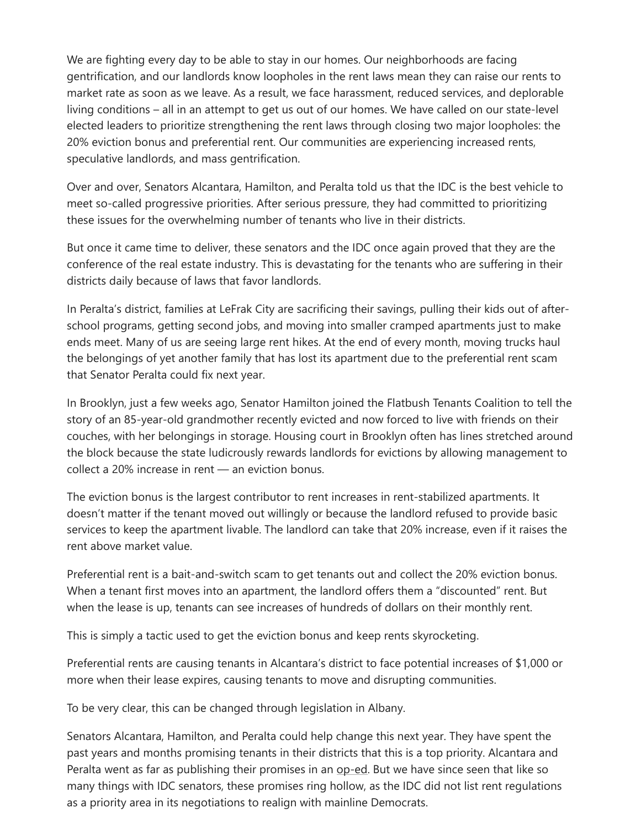We are fighting every day to be able to stay in our homes. Our neighborhoods are facing gentrification, and our landlords know loopholes in the rent laws mean they can raise our rents to market rate as soon as we leave. As a result, we face harassment, reduced services, and deplorable living conditions – all in an attempt to get us out of our homes. We have called on our state-level elected leaders to prioritize strengthening the rent laws through closing two major loopholes: the 20% eviction bonus and preferential rent. Our communities are experiencing increased rents, speculative landlords, and mass gentrification.

Over and over, Senators Alcantara, Hamilton, and Peralta told us that the IDC is the best vehicle to meet so-called progressive priorities. After serious pressure, they had committed to prioritizing these issues for the overwhelming number of tenants who live in their districts.

But once it came time to deliver, these senators and the IDC once again proved that they are the conference of the real estate industry. This is devastating for the tenants who are suffering in their districts daily because of laws that favor landlords.

In Peralta's district, families at LeFrak City are sacrificing their savings, pulling their kids out of afterschool programs, getting second jobs, and moving into smaller cramped apartments just to make ends meet. Many of us are seeing large rent hikes. At the end of every month, moving trucks haul the belongings of yet another family that has lost its apartment due to the preferential rent scam that Senator Peralta could fix next year.

In Brooklyn, just a few weeks ago, Senator Hamilton joined the Flatbush Tenants Coalition to tell the story of an 85-year-old grandmother recently evicted and now forced to live with friends on their couches, with her belongings in storage. Housing court in Brooklyn often has lines stretched around the block because the state ludicrously rewards landlords for evictions by allowing management to collect a 20% increase in rent — an eviction bonus.

The eviction bonus is the largest contributor to rent increases in rent-stabilized apartments. It doesn't matter if the tenant moved out willingly or because the landlord refused to provide basic services to keep the apartment livable. The landlord can take that 20% increase, even if it raises the rent above market value.

Preferential rent is a bait-and-switch scam to get tenants out and collect the 20% eviction bonus. When a tenant first moves into an apartment, the landlord offers them a "discounted" rent. But when the lease is up, tenants can see increases of hundreds of dollars on their monthly rent.

This is simply a tactic used to get the eviction bonus and keep rents skyrocketing.

Preferential rents are causing tenants in Alcantara's district to face potential increases of \$1,000 or more when their lease expires, causing tenants to move and disrupting communities.

To be very clear, this can be changed through legislation in Albany.

Senators Alcantara, Hamilton, and Peralta could help change this next year. They have spent the past years and months promising tenants in their districts that this is a top priority. Alcantara and Peralta went as far as publishing their promises in an [op-ed.](https://eldiariony.com/2017/09/26/nuestra-principal-prioridad-proteger-a-los-inquilinos/) But we have since seen that like so many things with IDC senators, these promises ring hollow, as the IDC did not list rent regulations as a priority area in its negotiations to realign with mainline Democrats.